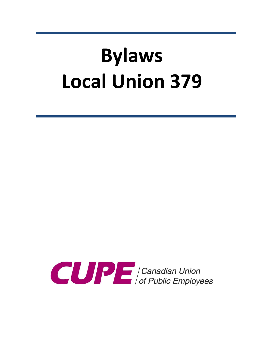# **Bylaws Local Union 379**

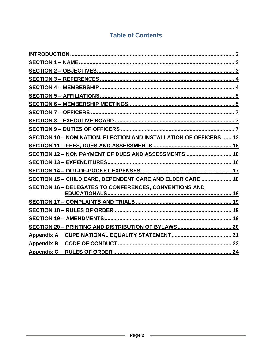# **Table of Contents**

| <b>SECTION 10 - NOMINATION, ELECTION AND INSTALLATION OF OFFICERS  12</b> |
|---------------------------------------------------------------------------|
|                                                                           |
| SECTION 12 - NON PAYMENT OF DUES AND ASSESSMENTS  16                      |
| 16                                                                        |
|                                                                           |
| SECTION 15 - CHILD CARE, DEPENDENT CARE AND ELDER CARE  18                |
| <b>SECTION 16 - DELEGATES TO CONFERENCES, CONVENTIONS AND</b>             |
|                                                                           |
| 19                                                                        |
|                                                                           |
|                                                                           |
|                                                                           |
|                                                                           |
| <b>Appendix B</b>                                                         |
| <b>Appendix C</b>                                                         |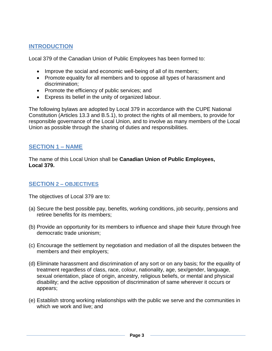# **INTRODUCTION**

Local 379 of the Canadian Union of Public Employees has been formed to:

- Improve the social and economic well-being of all of its members;
- Promote equality for all members and to oppose all types of harassment and discrimination;
- Promote the efficiency of public services; and
- Express its belief in the unity of organized labour.

The following bylaws are adopted by Local 379 in accordance with the CUPE National Constitution (Articles 13.3 and B.5.1), to protect the rights of all members, to provide for responsible governance of the Local Union, and to involve as many members of the Local Union as possible through the sharing of duties and responsibilities.

# <span id="page-2-0"></span>**SECTION 1 – NAME**

The name of this Local Union shall be **Canadian Union of Public Employees, Local 379.**

# <span id="page-2-1"></span>**SECTION 2 – OBJECTIVES**

The objectives of Local 379 are to:

- (a) Secure the best possible pay, benefits, working conditions, job security, pensions and retiree benefits for its members;
- (b) Provide an opportunity for its members to influence and shape their future through free democratic trade unionism;
- (c) Encourage the settlement by negotiation and mediation of all the disputes between the members and their employers;
- (d) Eliminate harassment and discrimination of any sort or on any basis; for the equality of treatment regardless of class, race, colour, nationality, age, sex/gender, language, sexual orientation, place of origin, ancestry, religious beliefs, or mental and physical disability; and the active opposition of discrimination of same wherever it occurs or appears;
- (e) Establish strong working relationships with the public we serve and the communities in which we work and live; and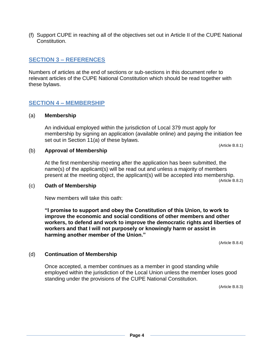(f) Support CUPE in reaching all of the objectives set out in Article II of the CUPE National Constitution.

# <span id="page-3-0"></span>**SECTION 3 – REFERENCES**

Numbers of articles at the end of sections or sub-sections in this document refer to relevant articles of the CUPE National Constitution which should be read together with these bylaws.

## <span id="page-3-1"></span>**SECTION 4 – MEMBERSHIP**

#### (a) **Membership**

An individual employed within the jurisdiction of Local 379 must apply for membership by signing an application (available online) and paying the initiation fee set out in Section 11(a) of these bylaws.

(Article B.8.1)

#### (b) **Approval of Membership**

At the first membership meeting after the application has been submitted, the name(s) of the applicant(s) will be read out and unless a majority of members present at the meeting object, the applicant(s) will be accepted into membership.

(Article B.8.2)

#### (c) **Oath of Membership**

New members will take this oath:

**"I promise to support and obey the Constitution of this Union, to work to improve the economic and social conditions of other members and other workers, to defend and work to improve the democratic rights and liberties of workers and that I will not purposely or knowingly harm or assist in harming another member of the Union."**

(Article B.8.4)

#### (d) **Continuation of Membership**

Once accepted, a member continues as a member in good standing while employed within the jurisdiction of the Local Union unless the member loses good standing under the provisions of the CUPE National Constitution.

(Article B.8.3)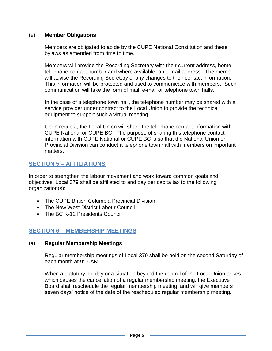#### (e) **Member Obligations**

Members are obligated to abide by the CUPE National Constitution and these bylaws as amended from time to time.

Members will provide the Recording Secretary with their current address, home telephone contact number and where available, an e-mail address. The member will advise the Recording Secretary of any changes to their contact information. This information will be protected and used to communicate with members. Such communication will take the form of mail, e-mail or telephone town halls.

In the case of a telephone town hall, the telephone number may be shared with a service provider under contract to the Local Union to provide the technical equipment to support such a virtual meeting.

Upon request, the Local Union will share the telephone contact information with CUPE National or CUPE BC. The purpose of sharing this telephone contact information with CUPE National or CUPE BC is so that the National Union or Provincial Division can conduct a telephone town hall with members on important matters.

# <span id="page-4-0"></span>**SECTION 5 – AFFILIATIONS**

In order to strengthen the labour movement and work toward common goals and objectives, Local 379 shall be affiliated to and pay per capita tax to the following organization(s):

- The CUPE British Columbia Provincial Division
- The New West District Labour Council
- The BC K-12 Presidents Council

# <span id="page-4-1"></span>**SECTION 6 – MEMBERSHIP MEETINGS**

#### (a) **Regular Membership Meetings**

Regular membership meetings of Local 379 shall be held on the second Saturday of each month at 9:00AM.

When a statutory holiday or a situation beyond the control of the Local Union arises which causes the cancellation of a regular membership meeting, the Executive Board shall reschedule the regular membership meeting, and will give members seven days' notice of the date of the rescheduled regular membership meeting.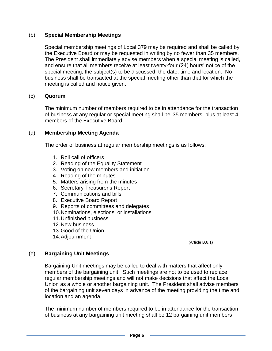#### (b) **Special Membership Meetings**

Special membership meetings of Local 379 may be required and shall be called by the Executive Board or may be requested in writing by no fewer than 35 members. The President shall immediately advise members when a special meeting is called, and ensure that all members receive at least twenty-four (24) hours' notice of the special meeting, the subject(s) to be discussed, the date, time and location. No business shall be transacted at the special meeting other than that for which the meeting is called and notice given.

#### (c) **Quorum**

The minimum number of members required to be in attendance for the transaction of business at any regular or special meeting shall be 35 members, plus at least 4 members of the Executive Board.

#### (d) **Membership Meeting Agenda**

The order of business at regular membership meetings is as follows:

- 1. Roll call of officers
- 2. Reading of the Equality Statement
- 3. Voting on new members and initiation
- 4. Reading of the minutes
- 5. Matters arising from the minutes
- 6. Secretary-Treasurer's Report
- 7. Communications and bills
- 8. Executive Board Report
- 9. Reports of committees and delegates
- 10.Nominations, elections, or installations
- 11.Unfinished business
- 12.New business
- 13.Good of the Union
- 14.Adjournment

(Article B.6.1)

#### (e) **Bargaining Unit Meetings**

Bargaining Unit meetings may be called to deal with matters that affect only members of the bargaining unit. Such meetings are not to be used to replace regular membership meetings and will not make decisions that affect the Local Union as a whole or another bargaining unit. The President shall advise members of the bargaining unit seven days in advance of the meeting providing the time and location and an agenda.

The minimum number of members required to be in attendance for the transaction of business at any bargaining unit meeting shall be 12 bargaining unit members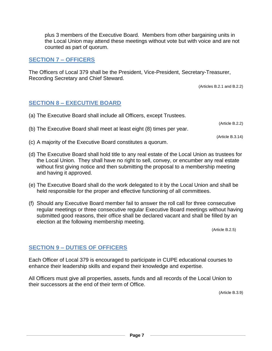plus 3 members of the Executive Board. Members from other bargaining units in the Local Union may attend these meetings without vote but with voice and are not counted as part of quorum.

# <span id="page-6-0"></span>**SECTION 7 – OFFICERS**

The Officers of Local 379 shall be the President, Vice-President, Secretary-Treasurer, Recording Secretary and Chief Steward.

(Articles B.2.1 and B.2.2)

## <span id="page-6-1"></span>**SECTION 8 – EXECUTIVE BOARD**

- (a) The Executive Board shall include all Officers, except Trustees.
- (b) The Executive Board shall meet at least eight (8) times per year.

(Article B.3.14)

(Article B.2.2)

- (c) A majority of the Executive Board constitutes a quorum.
- (d) The Executive Board shall hold title to any real estate of the Local Union as trustees for the Local Union. They shall have no right to sell, convey, or encumber any real estate without first giving notice and then submitting the proposal to a membership meeting and having it approved.
- (e) The Executive Board shall do the work delegated to it by the Local Union and shall be held responsible for the proper and effective functioning of all committees.
- (f) Should any Executive Board member fail to answer the roll call for three consecutive regular meetings or three consecutive regular Executive Board meetings without having submitted good reasons, their office shall be declared vacant and shall be filled by an election at the following membership meeting.

(Article B.2.5)

#### <span id="page-6-2"></span>**SECTION 9 – DUTIES OF OFFICERS**

Each Officer of Local 379 is encouraged to participate in CUPE educational courses to enhance their leadership skills and expand their knowledge and expertise.

All Officers must give all properties, assets, funds and all records of the Local Union to their successors at the end of their term of Office.

(Article B.3.9)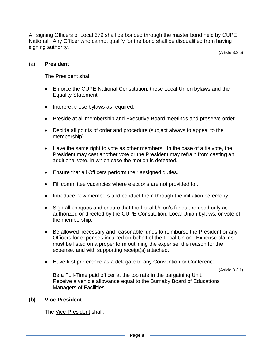All signing Officers of Local 379 shall be bonded through the master bond held by CUPE National. Any Officer who cannot qualify for the bond shall be disqualified from having signing authority.

(Article B.3.5)

#### (a) **President**

The President shall:

- Enforce the CUPE National Constitution, these Local Union bylaws and the Equality Statement.
- Interpret these bylaws as required.
- Preside at all membership and Executive Board meetings and preserve order.
- Decide all points of order and procedure (subject always to appeal to the membership).
- Have the same right to vote as other members. In the case of a tie vote, the President may cast another vote or the President may refrain from casting an additional vote, in which case the motion is defeated.
- Ensure that all Officers perform their assigned duties.
- Fill committee vacancies where elections are not provided for.
- Introduce new members and conduct them through the initiation ceremony.
- Sign all cheques and ensure that the Local Union's funds are used only as authorized or directed by the CUPE Constitution, Local Union bylaws, or vote of the membership.
- Be allowed necessary and reasonable funds to reimburse the President or any Officers for expenses incurred on behalf of the Local Union. Expense claims must be listed on a proper form outlining the expense, the reason for the expense, and with supporting receipt(s) attached.
- Have first preference as a delegate to any Convention or Conference.

(Article B.3.1)

Be a Full-Time paid officer at the top rate in the bargaining Unit. Receive a vehicle allowance equal to the Burnaby Board of Educations Managers of Facilities.

#### **(b) Vice-President**

The Vice-President shall: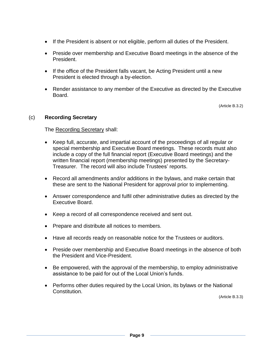- If the President is absent or not eligible, perform all duties of the President.
- Preside over membership and Executive Board meetings in the absence of the President.
- If the office of the President falls vacant, be Acting President until a new President is elected through a by-election.
- Render assistance to any member of the Executive as directed by the Executive Board.

(Article B.3.2)

#### (c) **Recording Secretary**

The Recording Secretary shall:

- Keep full, accurate, and impartial account of the proceedings of all regular or special membership and Executive Board meetings. These records must also include a copy of the full financial report (Executive Board meetings) and the written financial report (membership meetings) presented by the Secretary-Treasurer. The record will also include Trustees' reports.
- Record all amendments and/or additions in the bylaws, and make certain that these are sent to the National President for approval prior to implementing.
- Answer correspondence and fulfil other administrative duties as directed by the Executive Board.
- Keep a record of all correspondence received and sent out.
- Prepare and distribute all notices to members.
- Have all records ready on reasonable notice for the Trustees or auditors.
- Preside over membership and Executive Board meetings in the absence of both the President and Vice-President.
- Be empowered, with the approval of the membership, to employ administrative assistance to be paid for out of the Local Union's funds.
- Performs other duties required by the Local Union, its bylaws or the National Constitution.

(Article B.3.3)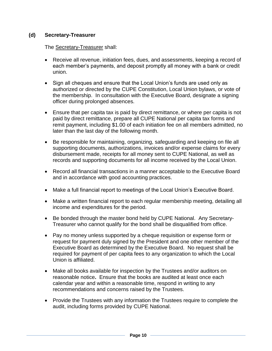#### **(d) Secretary-Treasurer**

#### The Secretary-Treasurer shall:

- Receive all revenue, initiation fees, dues, and assessments, keeping a record of each member's payments, and deposit promptly all money with a bank or credit union.
- Sign all cheques and ensure that the Local Union's funds are used only as authorized or directed by the CUPE Constitution, Local Union bylaws, or vote of the membership. In consultation with the Executive Board, designate a signing officer during prolonged absences.
- Ensure that per capita tax is paid by direct remittance, or where per capita is not paid by direct remittance, prepare all CUPE National per capita tax forms and remit payment, including \$1.00 of each initiation fee on all members admitted, no later than the last day of the following month.
- Be responsible for maintaining, organizing, safeguarding and keeping on file all supporting documents, authorizations, invoices and/or expense claims for every disbursement made, receipts for all money sent to CUPE National, as well as records and supporting documents for all income received by the Local Union.
- Record all financial transactions in a manner acceptable to the Executive Board and in accordance with good accounting practices.
- Make a full financial report to meetings of the Local Union's Executive Board.
- Make a written financial report to each regular membership meeting, detailing all income and expenditures for the period.
- Be bonded through the master bond held by CUPE National. Any Secretary-Treasurer who cannot qualify for the bond shall be disqualified from office.
- Pay no money unless supported by a cheque requisition or expense form or request for payment duly signed by the President and one other member of the Executive Board as determined by the Executive Board. No request shall be required for payment of per capita fees to any organization to which the Local Union is affiliated.
- Make all books available for inspection by the Trustees and/or auditors on reasonable notice**.** Ensure that the books are audited at least once each calendar year and within a reasonable time, respond in writing to any recommendations and concerns raised by the Trustees.
- Provide the Trustees with any information the Trustees require to complete the audit, including forms provided by CUPE National.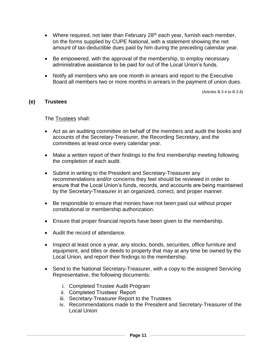- Where required, not later than February  $28<sup>th</sup>$  each year, furnish each member, on the forms supplied by CUPE National, with a statement showing the net amount of tax-deductible dues paid by him during the preceding calendar year.
- Be empowered, with the approval of the membership, to employ necessary administrative assistance to be paid for out of the Local Union's funds.
- Notify all members who are one month in arrears and report to the Executive Board all members two or more months in arrears in the payment of union dues.

(Articles B.3.4 to B.3.8)

#### **(e) Trustees**

The Trustees shall:

- Act as an auditing committee on behalf of the members and audit the books and accounts of the Secretary-Treasurer, the Recording Secretary, and the committees at least once every calendar year.
- Make a written report of their findings to the first membership meeting following the completion of each audit.
- Submit in writing to the President and Secretary-Treasurer any recommendations and/or concerns they feel should be reviewed in order to ensure that the Local Union's funds, records, and accounts are being maintained by the Secretary-Treasurer in an organized, correct, and proper manner.
- Be responsible to ensure that monies have not been paid out without proper constitutional or membership authorization.
- Ensure that proper financial reports have been given to the membership.
- Audit the record of attendance.
- Inspect at least once a year, any stocks, bonds, securities, office furniture and equipment, and titles or deeds to property that may at any time be owned by the Local Union, and report their findings to the membership.
- Send to the National Secretary-Treasurer, with a copy to the assigned Servicing Representative, the following documents:
	- i. Completed Trustee Audit Program
	- ii. Completed Trustees' Report
	- iii. Secretary-Treasurer Report to the Trustees
	- iv. Recommendations made to the President and Secretary-Treasurer of the Local Union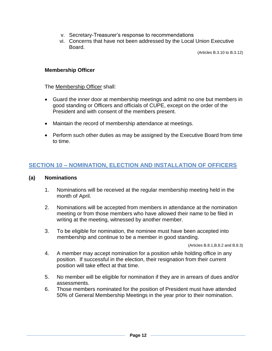- v. Secretary-Treasurer's response to recommendations
- vi. Concerns that have not been addressed by the Local Union Executive Board.

(Articles B.3.10 to B.3.12)

#### **Membership Officer**

The Membership Officer shall:

- Guard the inner door at membership meetings and admit no one but members in good standing or Officers and officials of CUPE, except on the order of the President and with consent of the members present.
- Maintain the record of membership attendance at meetings.
- Perform such other duties as may be assigned by the Executive Board from time to time.

# <span id="page-11-0"></span>**SECTION 10 – NOMINATION, ELECTION AND INSTALLATION OF OFFICERS**

#### **(a) Nominations**

- 1. Nominations will be received at the regular membership meeting held in the month of April.
- 2. Nominations will be accepted from members in attendance at the nomination meeting or from those members who have allowed their name to be filed in writing at the meeting, witnessed by another member.
- 3. To be eligible for nomination, the nominee must have been accepted into membership and continue to be a member in good standing.

(Articles B.8.1,B.8.2 and B.8.3)

- 4. A member may accept nomination for a position while holding office in any position. If successful in the election, their resignation from their current position will take effect at that time.
- 5. No member will be eligible for nomination if they are in arrears of dues and/or assessments.
- 6. Those members nominated for the position of President must have attended 50% of General Membership Meetings in the year prior to their nomination.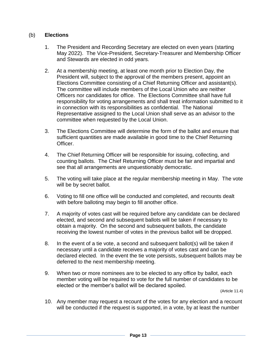#### (b) **Elections**

- 1. The President and Recording Secretary are elected on even years (starting May 2022). The Vice-President, Secretary-Treasurer and Membership Officer and Stewards are elected in odd years.
- 2. At a membership meeting, at least one month prior to Election Day, the President will, subject to the approval of the members present, appoint an Elections Committee consisting of a Chief Returning Officer and assistant(s). The committee will include members of the Local Union who are neither Officers nor candidates for office. The Elections Committee shall have full responsibility for voting arrangements and shall treat information submitted to it in connection with its responsibilities as confidential. The National Representative assigned to the Local Union shall serve as an advisor to the committee when requested by the Local Union.
- 3. The Elections Committee will determine the form of the ballot and ensure that sufficient quantities are made available in good time to the Chief Returning Officer.
- 4. The Chief Returning Officer will be responsible for issuing, collecting, and counting ballots. The Chief Returning Officer must be fair and impartial and see that all arrangements are unquestionably democratic.
- 5. The voting will take place at the regular membership meeting in May. The vote will be by secret ballot.
- 6. Voting to fill one office will be conducted and completed, and recounts dealt with before balloting may begin to fill another office.
- 7. A majority of votes cast will be required before any candidate can be declared elected, and second and subsequent ballots will be taken if necessary to obtain a majority. On the second and subsequent ballots, the candidate receiving the lowest number of votes in the previous ballot will be dropped.
- 8. In the event of a tie vote, a second and subsequent ballot(s) will be taken if necessary until a candidate receives a majority of votes cast and can be declared elected. In the event the tie vote persists, subsequent ballots may be deferred to the next membership meeting.
- 9. When two or more nominees are to be elected to any office by ballot, each member voting will be required to vote for the full number of candidates to be elected or the member's ballot will be declared spoiled.

(Article 11.4)

10. Any member may request a recount of the votes for any election and a recount will be conducted if the request is supported, in a vote, by at least the number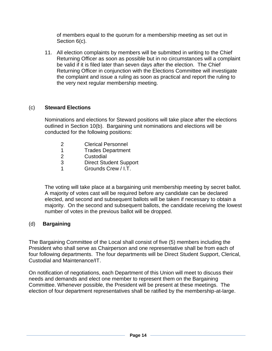of members equal to the quorum for a membership meeting as set out in Section 6(c).

11. All election complaints by members will be submitted in writing to the Chief Returning Officer as soon as possible but in no circumstances will a complaint be valid if it is filed later than seven days after the election. The Chief Returning Officer in conjunction with the Elections Committee will investigate the complaint and issue a ruling as soon as practical and report the ruling to the very next regular membership meeting.

## (c) **Steward Elections**

Nominations and elections for Steward positions will take place after the elections outlined in Section 10(b). Bargaining unit nominations and elections will be conducted for the following positions:

- 2 Clerical Personnel
- 1 Trades Department
- 2 **Custodial**
- 3 Direct Student Support
- 1 Grounds Crew / I.T.

The voting will take place at a bargaining unit membership meeting by secret ballot. A majority of votes cast will be required before any candidate can be declared elected, and second and subsequent ballots will be taken if necessary to obtain a majority. On the second and subsequent ballots, the candidate receiving the lowest number of votes in the previous ballot will be dropped.

#### (d) **Bargaining**

The Bargaining Committee of the Local shall consist of five (5) members including the President who shall serve as Chairperson and one representative shall be from each of four following departments. The four departments will be Direct Student Support, Clerical, Custodial and Maintenance/IT.

On notification of negotiations, each Department of this Union will meet to discuss their needs and demands and elect one member to represent them on the Bargaining Committee. Whenever possible, the President will be present at these meetings. The election of four department representatives shall be ratified by the membership-at-large.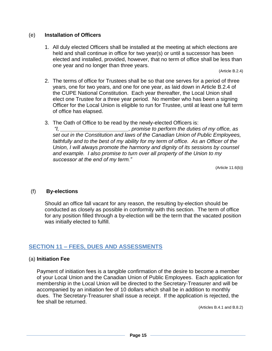#### (e) **Installation of Officers**

1. All duly elected Officers shall be installed at the meeting at which elections are held and shall continue in office for two year(s) or until a successor has been elected and installed, provided, however, that no term of office shall be less than one year and no longer than three years.

(Article B.2.4)

- 2. The terms of office for Trustees shall be so that one serves for a period of three years, one for two years, and one for one year, as laid down in Article B.2.4 of the CUPE National Constitution. Each year thereafter, the Local Union shall elect one Trustee for a three year period. No member who has been a signing Officer for the Local Union is eligible to run for Trustee, until at least one full term of office has elapsed.
- 3. The Oath of Office to be read by the newly-elected Officers is:

*"I, \_\_\_\_\_\_\_\_\_\_\_\_\_\_\_\_\_\_\_\_\_\_\_, promise to perform the duties of my office, as set out in the Constitution and laws of the Canadian Union of Public Employees, faithfully and to the best of my ability for my term of office. As an Officer of the Union, I will always promote the harmony and dignity of its sessions by counsel and example. I also promise to turn over all property of the Union to my successor at the end of my term."*

(Article 11.6(b))

#### (f) **By-elections**

Should an office fall vacant for any reason, the resulting by-election should be conducted as closely as possible in conformity with this section. The term of office for any position filled through a by-election will be the term that the vacated position was initially elected to fulfill.

# <span id="page-14-0"></span>**SECTION 11 – FEES, DUES AND ASSESSMENTS**

#### (a) **Initiation Fee**

Payment of initiation fees is a tangible confirmation of the desire to become a member of your Local Union and the Canadian Union of Public Employees. Each application for membership in the Local Union will be directed to the Secretary-Treasurer and will be accompanied by an initiation fee of 10 dollars which shall be in addition to monthly dues. The Secretary-Treasurer shall issue a receipt. If the application is rejected, the fee shall be returned.

(Articles B.4.1 and B.8.2)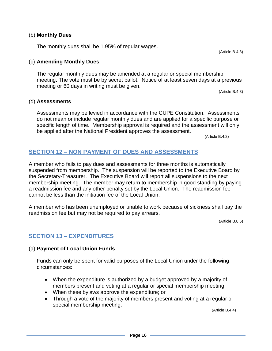#### (b) **Monthly Dues**

The monthly dues shall be 1.95% of regular wages.

#### (c) **Amending Monthly Dues**

The regular monthly dues may be amended at a regular or special membership meeting. The vote must be by secret ballot. Notice of at least seven days at a previous meeting or 60 days in writing must be given.

(Article B.4.3)

#### (d) **Assessments**

Assessments may be levied in accordance with the CUPE Constitution. Assessments do not mean or include regular monthly dues and are applied for a specific purpose or specific length of time. Membership approval is required and the assessment will only be applied after the National President approves the assessment.

(Article B.4.2)

#### <span id="page-15-0"></span>**SECTION 12 – NON PAYMENT OF DUES AND ASSESSMENTS**

A member who fails to pay dues and assessments for three months is automatically suspended from membership. The suspension will be reported to the Executive Board by the Secretary-Treasurer. The Executive Board will report all suspensions to the next membership meeting. The member may return to membership in good standing by paying a readmission fee and any other penalty set by the Local Union. The readmission fee cannot be less than the initiation fee of the Local Union.

A member who has been unemployed or unable to work because of sickness shall pay the readmission fee but may not be required to pay arrears.

(Article B.8.6)

#### <span id="page-15-1"></span>**SECTION 13 – EXPENDITURES**

#### (a) **Payment of Local Union Funds**

Funds can only be spent for valid purposes of the Local Union under the following circumstances:

- When the expenditure is authorized by a budget approved by a majority of members present and voting at a regular or special membership meeting;
- When these bylaws approve the expenditure; or
- Through a vote of the majority of members present and voting at a regular or special membership meeting.

(Article B.4.4)

(Article B.4.3)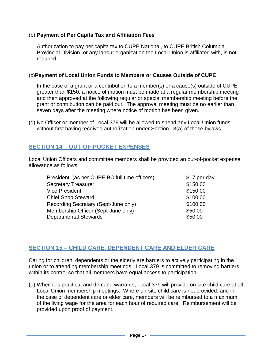#### (b) **Payment of Per Capita Tax and Affiliation Fees**

Authorization to pay per capita tax to CUPE National, to CUPE British Columbia Provincial Division, or any labour organization the Local Union is affiliated with, is not required.

#### (c)**Payment of Local Union Funds to Members or Causes Outside of CUPE**

In the case of a grant or a contribution to a member(s) or a cause(s) outside of CUPE greater than \$150, a notice of motion must be made at a regular membership meeting and then approved at the following regular or special membership meeting before the grant or contribution can be paid out. The approval meeting must be no earlier than seven days after the meeting where notice of motion has been given.

(d) No Officer or member of Local 379 will be allowed to spend any Local Union funds without first having received authorization under Section 13(a) of these bylaws.

# <span id="page-16-0"></span>**SECTION 14 – OUT-OF-POCKET EXPENSES**

Local Union Officers and committee members shall be provided an out-of-pocket expense allowance as follows:

| \$17 per day       |
|--------------------|
| \$150.00           |
| \$150.00           |
| \$100.00           |
| \$100.00           |
| \$50.00<br>\$50.00 |
|                    |

#### <span id="page-16-1"></span>**SECTION 15 – CHILD CARE, DEPENDENT CARE AND ELDER CARE**

Caring for children, dependents or the elderly are barriers to actively participating in the union or to attending membership meetings. Local 379 is committed to removing barriers within its control so that all members have equal access to participation.

(a) When it is practical and demand warrants, Local 379 will provide on-site child care at all Local Union membership meetings. Where on-site child care is not provided, and in the case of dependent care or elder care, members will be reimbursed to a maximum of the living wage for the area for each hour of required care. Reimbursement will be provided upon proof of payment.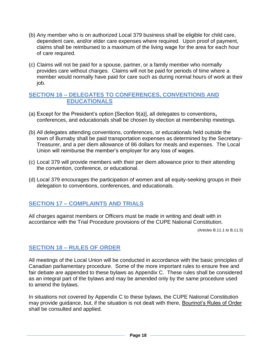- (b) Any member who is on authorized Local 379 business shall be eligible for child care, dependent care, and/or elder care expenses where required. Upon proof of payment, claims shall be reimbursed to a maximum of the living wage for the area for each hour of care required.
- (c) Claims will not be paid for a spouse, partner, or a family member who normally provides care without charges. Claims will not be paid for periods of time where a member would normally have paid for care such as during normal hours of work at their job.

# <span id="page-17-0"></span>**SECTION 16 – DELEGATES TO CONFERENCES, CONVENTIONS AND EDUCATIONALS**

- (a) Except for the President's option [Section 9(a)], all delegates to conventions**,**  conferences, and educationals shall be chosen by election at membership meetings.
- (b) All delegates attending conventions, conferences, or educationals held outside the town of Burnaby shall be paid transportation expenses as determined by the Secretary-Treasurer, and a per diem allowance of 86 dollars for meals and expenses. The Local Union will reimburse the member's employer for any loss of wages.
- (c) Local 379 will provide members with their per diem allowance prior to their attending the convention, conference, or educational.
- (d) Local 379 encourages the participation of women and all equity-seeking groups in their delegation to conventions, conferences, and educationals.

# <span id="page-17-1"></span>**SECTION 17 – COMPLAINTS AND TRIALS**

All charges against members or Officers must be made in writing and dealt with in accordance with the Trial Procedure provisions of the CUPE National Constitution.

(Articles B.11.1 to B.11.5)

# <span id="page-17-2"></span>**SECTION 18 – RULES OF ORDER**

All meetings of the Local Union will be conducted in accordance with the basic principles of Canadian parliamentary procedure. Some of the more important rules to ensure free and fair debate are appended to these bylaws as Appendix C. These rules shall be considered as an integral part of the bylaws and may be amended only by the same procedure used to amend the bylaws.

In situations not covered by Appendix C to these bylaws, the CUPE National Constitution may provide guidance, but, if the situation is not dealt with there, Bourinot's Rules of Order shall be consulted and applied.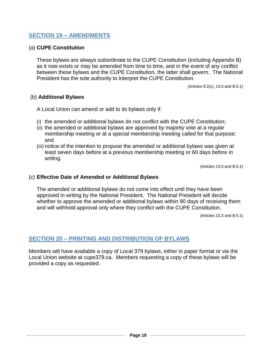## <span id="page-18-0"></span>**SECTION 19 – AMENDMENTS**

#### (a) **CUPE Constitution**

These bylaws are always subordinate to the CUPE Constitution (including Appendix B) as it now exists or may be amended from time to time, and in the event of any conflict between these bylaws and the CUPE Constitution, the latter shall govern. The National President has the sole authority to interpret the CUPE Constitution.

(Articles 9.2(c), 13.3 and B.5.1)

#### (b) **Additional Bylaws**

A Local Union can amend or add to its bylaws only if:

- (i) the amended or additional bylaws do not conflict with the CUPE Constitution;
- (ii) the amended or additional bylaws are approved by majority vote at a regular membership meeting or at a special membership meeting called for that purpose; and
- (iii) notice of the intention to propose the amended or additional bylaws was given at least seven days before at a previous membership meeting or 60 days before in writing.

(Articles 13.3 and B.5.1)

#### (c) **Effective Date of Amended or Additional Bylaws**

The amended or additional bylaws do not come into effect until they have been approved in writing by the National President. The National President will decide whether to approve the amended or additional bylaws within 90 days of receiving them and will withhold approval only where they conflict with the CUPE Constitution.

(Articles 13.3 and B.5.1)

# <span id="page-18-1"></span>**SECTION 20 – PRINTING AND DISTRIBUTION OF BYLAWS**

Members will have available a copy of Local 379 bylaws, either in paper format or via the Local Union website at cupe379.ca. Members requesting a copy of these bylaws will be provided a copy as requested.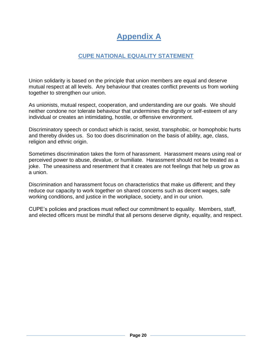# **Appendix A**

# **CUPE NATIONAL EQUALITY STATEMENT**

<span id="page-19-1"></span><span id="page-19-0"></span>Union solidarity is based on the principle that union members are equal and deserve mutual respect at all levels. Any behaviour that creates conflict prevents us from working together to strengthen our union.

As unionists, mutual respect, cooperation, and understanding are our goals. We should neither condone nor tolerate behaviour that undermines the dignity or self-esteem of any individual or creates an intimidating, hostile, or offensive environment.

Discriminatory speech or conduct which is racist, sexist, transphobic, or homophobic hurts and thereby divides us. So too does discrimination on the basis of ability, age, class, religion and ethnic origin.

Sometimes discrimination takes the form of harassment. Harassment means using real or perceived power to abuse, devalue, or humiliate. Harassment should not be treated as a joke. The uneasiness and resentment that it creates are not feelings that help us grow as a union.

Discrimination and harassment focus on characteristics that make us different; and they reduce our capacity to work together on shared concerns such as decent wages, safe working conditions, and justice in the workplace, society, and in our union.

CUPE's policies and practices must reflect our commitment to equality. Members, staff, and elected officers must be mindful that all persons deserve dignity, equality, and respect.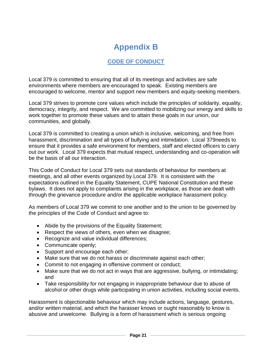# **Appendix B**

# **CODE OF CONDUCT**

<span id="page-20-1"></span><span id="page-20-0"></span>Local 379 is committed to ensuring that all of its meetings and activities are safe environments where members are encouraged to speak. Existing members are encouraged to welcome, mentor and support new members and equity-seeking members.

Local 379 strives to promote core values which include the principles of solidarity, equality, democracy, integrity, and respect. We are committed to mobilizing our energy and skills to work together to promote these values and to attain these goals in our union, our communities, and globally.

Local 379 is committed to creating a union which is inclusive, welcoming, and free from harassment, discrimination and all types of bullying and intimidation. Local 379needs to ensure that it provides a safe environment for members, staff and elected officers to carry out our work. Local 379 expects that mutual respect, understanding and co-operation will be the basis of all our interaction.

This Code of Conduct for Local 379 sets out standards of behaviour for members at meetings, and all other events organized by Local 379. It is consistent with the expectations outlined in the Equality Statement, CUPE National Constitution and these bylaws. It does not apply to complaints arising in the workplace, as those are dealt with through the grievance procedure and/or the applicable workplace harassment policy.

As members of Local 379 we commit to one another and to the union to be governed by the principles of the Code of Conduct and agree to:

- Abide by the provisions of the Equality Statement;
- Respect the views of others, even when we disagree;
- Recognize and value individual differences;
- Communicate openly;
- Support and encourage each other;
- Make sure that we do not harass or discriminate against each other;
- Commit to not engaging in offensive comment or conduct;
- Make sure that we do not act in ways that are aggressive, bullying, or intimidating; and
- Take responsibility for not engaging in inappropriate behaviour due to abuse of alcohol or other drugs while participating in union activities, including social events.

Harassment is objectionable behaviour which may include actions, language, gestures, and/or written material, and which the harasser knows or ought reasonably to know is abusive and unwelcome. Bullying is a form of harassment which is serious ongoing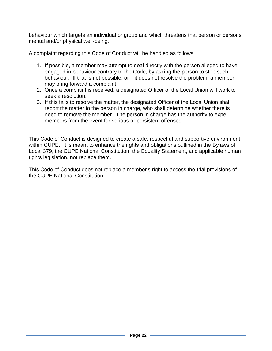behaviour which targets an individual or group and which threatens that person or persons' mental and/or physical well-being.

A complaint regarding this Code of Conduct will be handled as follows:

- 1. If possible, a member may attempt to deal directly with the person alleged to have engaged in behaviour contrary to the Code, by asking the person to stop such behaviour. If that is not possible, or if it does not resolve the problem, a member may bring forward a complaint.
- 2. Once a complaint is received, a designated Officer of the Local Union will work to seek a resolution.
- 3. If this fails to resolve the matter, the designated Officer of the Local Union shall report the matter to the person in charge, who shall determine whether there is need to remove the member. The person in charge has the authority to expel members from the event for serious or persistent offenses.

This Code of Conduct is designed to create a safe, respectful and supportive environment within CUPE. It is meant to enhance the rights and obligations outlined in the Bylaws of Local 379, the CUPE National Constitution, the Equality Statement, and applicable human rights legislation, not replace them.

This Code of Conduct does not replace a member's right to access the trial provisions of the CUPE National Constitution.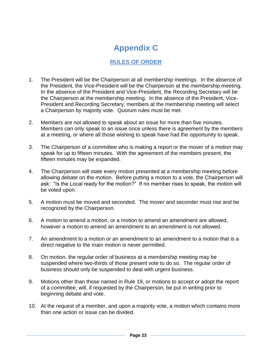# **Appendix C**

# **RULES OF ORDER**

- <span id="page-22-1"></span><span id="page-22-0"></span>1. The President will be the Chairperson at all membership meetings. In the absence of the President, the Vice-President will be the Chairperson at the membership meeting. In the absence of the President and Vice-President, the Recording Secretary will be the Chairperson at the membership meeting. In the absence of the President, Vice-President and Recording Secretary, members at the membership meeting will select a Chairperson by majority vote. Quorum rules must be met.
- 2. Members are not allowed to speak about an issue for more than five minutes. Members can only speak to an issue once unless there is agreement by the members at a meeting, or where all those wishing to speak have had the opportunity to speak.
- 3. The Chairperson of a committee who is making a report or the mover of a motion may speak for up to fifteen minutes. With the agreement of the members present, the fifteen minutes may be expanded.
- 4. The Chairperson will state every motion presented at a membership meeting before allowing debate on the motion. Before putting a motion to a vote, the Chairperson will ask: "Is the Local ready for the motion?" If no member rises to speak, the motion will be voted upon.
- 5. A motion must be moved and seconded. The mover and seconder must rise and be recognized by the Chairperson.
- 6. A motion to amend a motion, or a motion to amend an amendment are allowed, however a motion to amend an amendment to an amendment is not allowed.
- 7. An amendment to a motion or an amendment to an amendment to a motion that is a direct negative to the main motion is never permitted.
- 8. On motion, the regular order of business at a membership meeting may be suspended where two-thirds of those present vote to do so. The regular order of business should only be suspended to deal with urgent business.
- 9. Motions other than those named in Rule 19, or motions to accept or adopt the report of a committee, will, if requested by the Chairperson, be put in writing prior to beginning debate and vote.
- 10. At the request of a member, and upon a majority vote, a motion which contains more than one action or issue can be divided.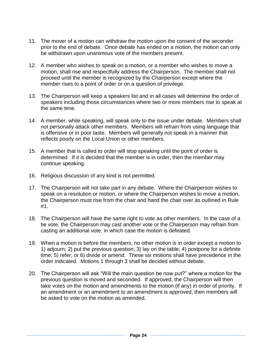- 11. The mover of a motion can withdraw the motion upon the consent of the seconder prior to the end of debate. Once debate has ended on a motion, the motion can only be withdrawn upon unanimous vote of the members present.
- 12. A member who wishes to speak on a motion, or a member who wishes to move a motion, shall rise and respectfully address the Chairperson. The member shall not proceed until the member is recognized by the Chairperson except where the member rises to a point of order or on a question of privilege.
- 13. The Chairperson will keep a speakers list and in all cases will determine the order of speakers including those circumstances where two or more members rise to speak at the same time.
- 14. A member, while speaking, will speak only to the issue under debate. Members shall not personally attack other members. Members will refrain from using language that is offensive or in poor taste. Members will generally not speak in a manner that reflects poorly on the Local Union or other members.
- 15. A member that is called to order will stop speaking until the point of order is determined. If it is decided that the member is in order, then the member may continue speaking.
- 16. Religious discussion of any kind is not permitted.
- 17. The Chairperson will not take part in any debate. Where the Chairperson wishes to speak on a resolution or motion, or where the Chairperson wishes to move a motion, the Chairperson must rise from the chair and hand the chair over as outlined in Rule #1.
- 18. The Chairperson will have the same right to vote as other members. In the case of a tie vote, the Chairperson may cast another vote or the Chairperson may refrain from casting an additional vote, in which case the motion is defeated.
- 19. When a motion is before the members, no other motion is in order except a motion to 1) adjourn; 2) put the previous question; 3) lay on the table; 4) postpone for a definite time; 5) refer; or 6) divide or amend. These six motions shall have precedence in the order indicated. Motions 1 through 3 shall be decided without debate.
- 20. The Chairperson will ask "Will the main question be now put?" where a motion for the previous question is moved and seconded. If approved, the Chairperson will then take votes on the motion and amendments to the motion (if any) in order of priority. If an amendment or an amendment to an amendment is approved, then members will be asked to vote on the motion as amended.